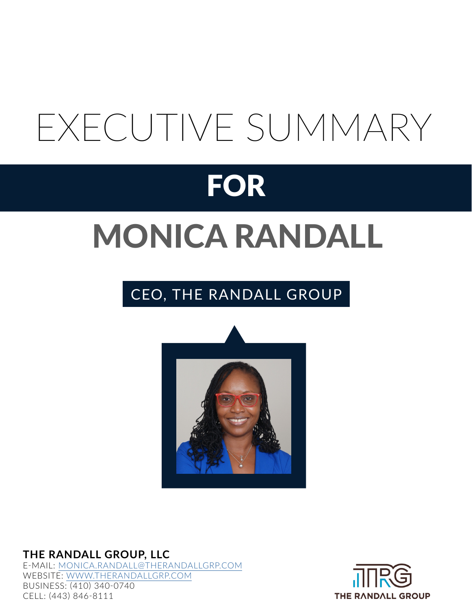# EXECUTIVE SUMMARY

## FOR

# MONICA RANDALL

### CEO, THE RANDALL GROUP



**THE RANDALL GROUP, LLC** E-MAIL: [MONICA.RANDALL@THERANDALLGRP.COM](mailto:monica.randall%40therandallgrp.com?subject=resume%20inquiry%20) WEBSITE: [WWW.THERANDALLGRP.COM](http://www.therandallgrp.com) BUSINESS: (410) 340-0740 CELL: (443) 846-8111

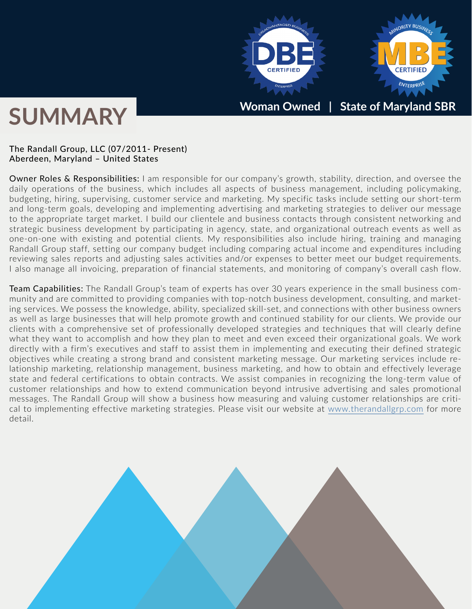

## **SUMMARY**

#### The Randall Group, LLC (07/2011- Present) Aberdeen, Maryland – United States

Owner Roles & Responsibilities: I am responsible for our company's growth, stability, direction, and oversee the daily operations of the business, which includes all aspects of business management, including policymaking, budgeting, hiring, supervising, customer service and marketing. My specific tasks include setting our short-term and long-term goals, developing and implementing advertising and marketing strategies to deliver our message to the appropriate target market. I build our clientele and business contacts through consistent networking and strategic business development by participating in agency, state, and organizational outreach events as well as one-on-one with existing and potential clients. My responsibilities also include hiring, training and managing Randall Group staff, setting our company budget including comparing actual income and expenditures including reviewing sales reports and adjusting sales activities and/or expenses to better meet our budget requirements. I also manage all invoicing, preparation of financial statements, and monitoring of company's overall cash flow.

Team Capabilities: The Randall Group's team of experts has over 30 years experience in the small business community and are committed to providing companies with top-notch business development, consulting, and marketing services. We possess the knowledge, ability, specialized skill-set, and connections with other business owners as well as large businesses that will help promote growth and continued stability for our clients. We provide our clients with a comprehensive set of professionally developed strategies and techniques that will clearly define what they want to accomplish and how they plan to meet and even exceed their organizational goals. We work directly with a firm's executives and staff to assist them in implementing and executing their defined strategic objectives while creating a strong brand and consistent marketing message. Our marketing services include relationship marketing, relationship management, business marketing, and how to obtain and effectively leverage state and federal certifications to obtain contracts. We assist companies in recognizing the long-term value of customer relationships and how to extend communication beyond intrusive advertising and sales promotional messages. The Randall Group will show a business how measuring and valuing customer relationships are critical to implementing effective marketing strategies. Please visit our website at [www.therandallgrp.com](http://www.therandallgrp.com) for more detail.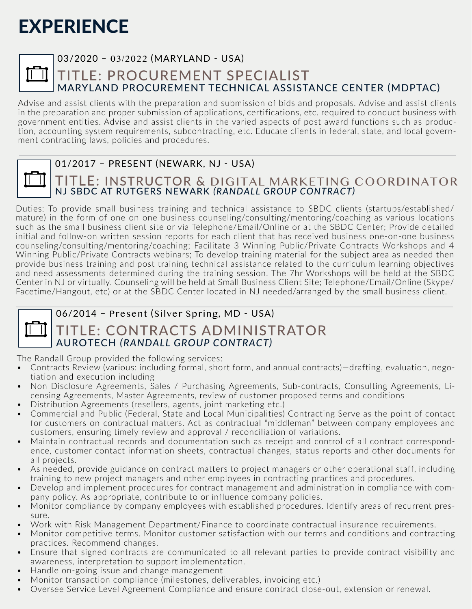|--|

#### 03/2020 – 03/2022 (MARYLAND - USA)

#### TITLE: PROCUREMENT SPECIALIST MARYLAND PROCUREMENT TECHNICAL ASSISTANCE CENTER (MDPTAC)

Advise and assist clients with the preparation and submission of bids and proposals. Advise and assist clients in the preparation and proper submission of applications, certifications, etc. required to conduct business with government entities. Advise and assist clients in the varied aspects of post award functions such as production, accounting system requirements, subcontracting, etc. Educate clients in federal, state, and local government contracting laws, policies and procedures.



#### 01/2017 – PRESENT (NEWARK, NJ - USA)

#### TITLE: INSTRUCTOR & DIGITAL MARKETING COORDINATOR NJ SBDC AT RUTGERS NEWARK *(RANDALL GROUP CONTRACT)*

Duties: To provide small business training and technical assistance to SBDC clients (startups/established/ mature) in the form of one on one business counseling/consulting/mentoring/coaching as various locations such as the small business client site or via Telephone/Email/Online or at the SBDC Center; Provide detailed initial and follow-on written session reports for each client that has received business one-on-one business counseling/consulting/mentoring/coaching; Facilitate 3 Winning Public/Private Contracts Workshops and 4 Winning Public/Private Contracts webinars; To develop training material for the subject area as needed then provide business training and post training technical assistance related to the curriculum learning objectives and need assessments determined during the training session. The 7hr Workshops will be held at the SBDC Center in NJ or virtually. Counseling will be held at Small Business Client Site; Telephone/Email/Online (Skype/ Facetime/Hangout, etc) or at the SBDC Center located in NJ needed/arranged by the small business client.

|--|

#### 06/2014 – Present (Silver Spring, MD - USA)

#### TITLE: CONTRACTS ADMINISTRATOR AUROTECH *(RANDALL GROUP CONTRACT)*

The Randall Group provided the following services:

- Contracts Review (various: including formal, short form, and annual contracts)—drafting, evaluation, negotiation and execution including
- Non Disclosure Agreements, Sales / Purchasing Agreements, Sub-contracts, Consulting Agreements, Licensing Agreements, Master Agreements, review of customer proposed terms and conditions
- Distribution Agreements (resellers, agents, joint marketing etc.)
- Commercial and Public (Federal, State and Local Municipalities) Contracting Serve as the point of contact for customers on contractual matters. Act as contractual "middleman" between company employees and customers, ensuring timely review and approval / reconciliation of variations.
- Maintain contractual records and documentation such as receipt and control of all contract correspondence, customer contact information sheets, contractual changes, status reports and other documents for all projects.
- As needed, provide guidance on contract matters to project managers or other operational staff, including training to new project managers and other employees in contracting practices and procedures.
- Develop and implement procedures for contract management and administration in compliance with company policy. As appropriate, contribute to or influence company policies.
- Monitor compliance by company employees with established procedures. Identify areas of recurrent pressure.
- Work with Risk Management Department/Finance to coordinate contractual insurance requirements.
- Monitor competitive terms. Monitor customer satisfaction with our terms and conditions and contracting practices. Recommend changes.
- Ensure that signed contracts are communicated to all relevant parties to provide contract visibility and awareness, interpretation to support implementation.
- Handle on-going issue and change management
- Monitor transaction compliance (milestones, deliverables, invoicing etc.)
- Oversee Service Level Agreement Compliance and ensure contract close-out, extension or renewal.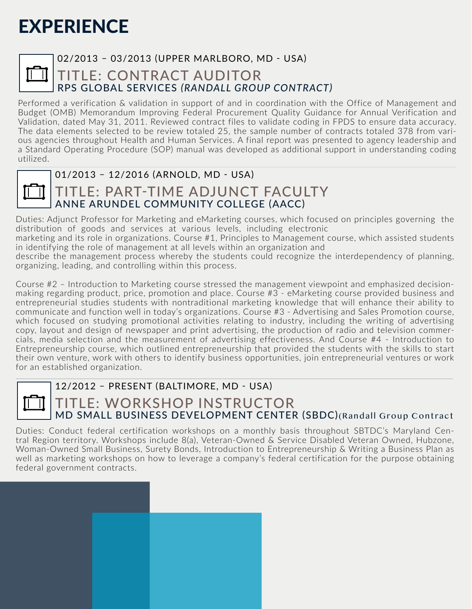|--|

#### 02/2013 – 03/2013 (UPPER MARLBORO, MD - USA)

#### TITLE: CONTRACT AUDITOR RPS GLOBAL SERVICES *(RANDALL GROUP CONTRACT)*

Performed a verification & validation in support of and in coordination with the Office of Management and Budget (OMB) Memorandum Improving Federal Procurement Quality Guidance for Annual Verification and Validation, dated May 31, 2011. Reviewed contract files to validate coding in FPDS to ensure data accuracy. The data elements selected to be review totaled 25, the sample number of contracts totaled 378 from various agencies throughout Health and Human Services. A final report was presented to agency leadership and a Standard Operating Procedure (SOP) manual was developed as additional support in understanding coding utilized.



#### 01/2013 – 12/2016 (ARNOLD, MD - USA)

### TITLE: PART-TIME ADJUNCT FACULTY ANNE ARUNDEL COMMUNITY COLLEGE (AACC)

Duties: Adjunct Professor for Marketing and eMarketing courses, which focused on principles governing the distribution of goods and services at various levels, including electronic marketing and its role in organizations. Course #1, Principles to Management course, which assisted students in identifying the role of management at all levels within an organization and

describe the management process whereby the students could recognize the interdependency of planning, organizing, leading, and controlling within this process.

Course #2 – Introduction to Marketing course stressed the management viewpoint and emphasized decisionmaking regarding product, price, promotion and place. Course #3 - eMarketing course provided business and entrepreneurial studies students with nontraditional marketing knowledge that will enhance their ability to communicate and function well in today's organizations. Course #3 - Advertising and Sales Promotion course, which focused on studying promotional activities relating to industry, including the writing of advertising copy, layout and design of newspaper and print advertising, the production of radio and television commercials, media selection and the measurement of advertising effectiveness. And Course #4 - Introduction to Entrepreneurship course, which outlined entrepreneurship that provided the students with the skills to start their own venture, work with others to identify business opportunities, join entrepreneurial ventures or work for an established organization.



#### 12/2012 – PRESENT (BALTIMORE, MD - USA)

#### TITLE: WORKSHOP INSTRUCTOR MD SMALL BUSINESS DEVELOPMENT CENTER (SBDC)(Randall Group Contract

Duties: Conduct federal certification workshops on a monthly basis throughout SBTDC's Maryland Central Region territory. Workshops include 8(a), Veteran-Owned & Service Disabled Veteran Owned, Hubzone, Woman-Owned Small Business, Surety Bonds, Introduction to Entrepreneurship & Writing a Business Plan as well as marketing workshops on how to leverage a company's federal certification for the purpose obtaining federal government contracts.

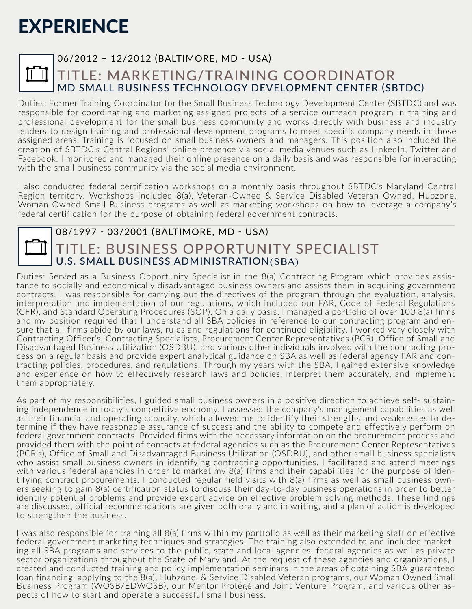|--|

#### 06/2012 – 12/2012 (BALTIMORE, MD - USA)

#### TITLE: MARKETING/TRAINING COORDINATOR MD SMALL BUSINESS TECHNOLOGY DEVELOPMENT CENTER (SBTDC)

Duties: Former Training Coordinator for the Small Business Technology Development Center (SBTDC) and was responsible for coordinating and marketing assigned projects of a service outreach program in training and professional development for the small business community and works directly with business and industry leaders to design training and professional development programs to meet specific company needs in those assigned areas. Training is focused on small business owners and managers. This position also included the creation of SBTDC's Central Regions' online presence via social media venues such as LinkedIn, Twitter and Facebook. I monitored and managed their online presence on a daily basis and was responsible for interacting with the small business community via the social media environment.

I also conducted federal certification workshops on a monthly basis throughout SBTDC's Maryland Central Region territory. Workshops included 8(a), Veteran-Owned & Service Disabled Veteran Owned, Hubzone, Woman-Owned Small Business programs as well as marketing workshops on how to leverage a company's federal certification for the purpose of obtaining federal government contracts.

#### 08/1997 - 03/2001 (BALTIMORE, MD - USA) TITLE: BUSINESS OPPORTUNITY SPECIALIST U.S. SMALL BUSINESS ADMINISTRATION(SBA)

Duties: Served as a Business Opportunity Specialist in the 8(a) Contracting Program which provides assistance to socially and economically disadvantaged business owners and assists them in acquiring government contracts. I was responsible for carrying out the directives of the program through the evaluation, analysis, interpretation and implementation of our regulations, which included our FAR, Code of Federal Regulations (CFR), and Standard Operating Procedures (SOP). On a daily basis, I managed a portfolio of over 100 8(a) firms and my position required that I understand all SBA policies in reference to our contracting program and ensure that all firms abide by our laws, rules and regulations for continued eligibility. I worked very closely with Contracting Officer's, Contracting Specialists, Procurement Center Representatives (PCR), Office of Small and Disadvantaged Business Utilization (OSDBU), and various other individuals involved with the contracting process on a regular basis and provide expert analytical guidance on SBA as well as federal agency FAR and contracting policies, procedures, and regulations. Through my years with the SBA, I gained extensive knowledge and experience on how to effectively research laws and policies, interpret them accurately, and implement them appropriately.

As part of my responsibilities, I guided small business owners in a positive direction to achieve self- sustaining independence in today's competitive economy. I assessed the company's management capabilities as well as their financial and operating capacity, which allowed me to identify their strengths and weaknesses to determine if they have reasonable assurance of success and the ability to compete and effectively perform on federal government contracts. Provided firms with the necessary information on the procurement process and provided them with the point of contacts at federal agencies such as the Procurement Center Representatives (PCR's), Office of Small and Disadvantaged Business Utilization (OSDBU), and other small business specialists who assist small business owners in identifying contracting opportunities. I facilitated and attend meetings with various federal agencies in order to market my 8(a) firms and their capabilities for the purpose of identifying contract procurements. I conducted regular field visits with 8(a) firms as well as small business owners seeking to gain 8(a) certification status to discuss their day-to-day business operations in order to better identify potential problems and provide expert advice on effective problem solving methods. These findings are discussed, official recommendations are given both orally and in writing, and a plan of action is developed to strengthen the business.

I was also responsible for training all 8(a) firms within my portfolio as well as their marketing staff on effective federal government marketing techniques and strategies. The training also extended to and included marketing all SBA programs and services to the public, state and local agencies, federal agencies as well as private sector organizations throughout the State of Maryland. At the request of these agencies and organizations, I created and conducted training and policy implementation seminars in the areas of obtaining SBA guaranteed loan financing, applying to the 8(a), Hubzone, & Service Disabled Veteran programs, our Woman Owned Small Business Program (WOSB/EDWOSB), our Mentor Protégé and Joint Venture Program, and various other aspects of how to start and operate a successful small business.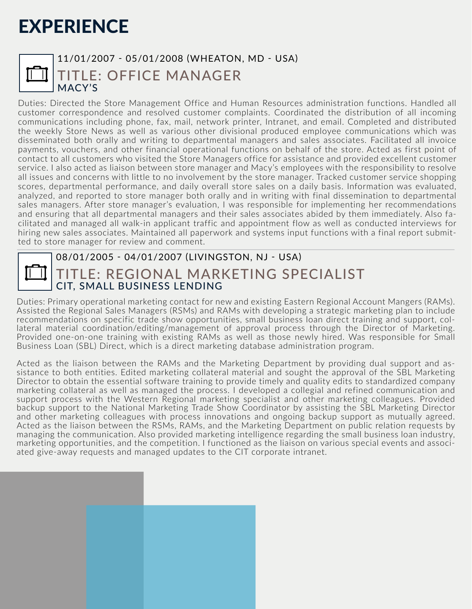#### 11/01/2007 - 05/01/2008 (WHEATON, MD - USA) TITLE: OFFICE MANAGER MACY'S

Duties: Directed the Store Management Office and Human Resources administration functions. Handled all customer correspondence and resolved customer complaints. Coordinated the distribution of all incoming communications including phone, fax, mail, network printer, Intranet, and email. Completed and distributed the weekly Store News as well as various other divisional produced employee communications which was disseminated both orally and writing to departmental managers and sales associates. Facilitated all invoice payments, vouchers, and other financial operational functions on behalf of the store. Acted as first point of contact to all customers who visited the Store Managers office for assistance and provided excellent customer service. I also acted as liaison between store manager and Macy's employees with the responsibility to resolve all issues and concerns with little to no involvement by the store manager. Tracked customer service shopping scores, departmental performance, and daily overall store sales on a daily basis. Information was evaluated, analyzed, and reported to store manager both orally and in writing with final dissemination to departmental sales managers. After store manager's evaluation, I was responsible for implementing her recommendations and ensuring that all departmental managers and their sales associates abided by them immediately. Also facilitated and managed all walk-in applicant traffic and appointment flow as well as conducted interviews for hiring new sales associates. Maintained all paperwork and systems input functions with a final report submitted to store manager for review and comment.



#### 08/01/2005 - 04/01/2007 (LIVINGSTON, NJ - USA)

### TITLE: REGIONAL MARKETING SPECIALIST CIT, SMALL BUSINESS LENDING

Duties: Primary operational marketing contact for new and existing Eastern Regional Account Mangers (RAMs). Assisted the Regional Sales Managers (RSMs) and RAMs with developing a strategic marketing plan to include recommendations on specific trade show opportunities, small business loan direct training and support, collateral material coordination/editing/management of approval process through the Director of Marketing. Provided one-on-one training with existing RAMs as well as those newly hired. Was responsible for Small Business Loan (SBL) Direct, which is a direct marketing database administration program.

Acted as the liaison between the RAMs and the Marketing Department by providing dual support and assistance to both entities. Edited marketing collateral material and sought the approval of the SBL Marketing Director to obtain the essential software training to provide timely and quality edits to standardized company marketing collateral as well as managed the process. I developed a collegial and refined communication and support process with the Western Regional marketing specialist and other marketing colleagues. Provided backup support to the National Marketing Trade Show Coordinator by assisting the SBL Marketing Director and other marketing colleagues with process innovations and ongoing backup support as mutually agreed. Acted as the liaison between the RSMs, RAMs, and the Marketing Department on public relation requests by managing the communication. Also provided marketing intelligence regarding the small business loan industry, marketing opportunities, and the competition. I functioned as the liaison on various special events and associated give-away requests and managed updates to the CIT corporate intranet.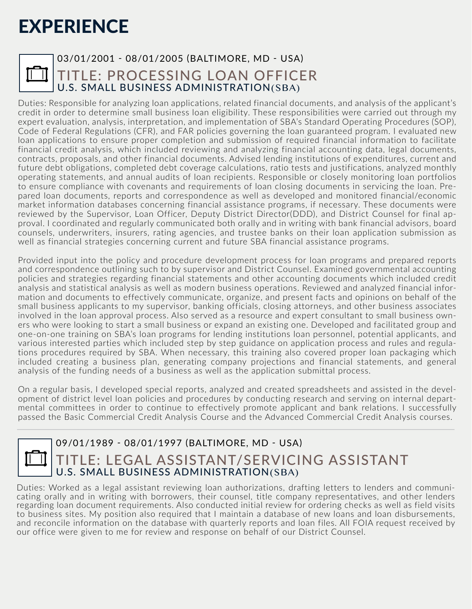|--|

#### 03/01/2001 - 08/01/2005 (BALTIMORE, MD - USA) TITLE: PROCESSING LOAN OFFICER U.S. SMALL BUSINESS ADMINISTRATION(SBA)

Duties: Responsible for analyzing loan applications, related financial documents, and analysis of the applicant's credit in order to determine small business loan eligibility. These responsibilities were carried out through my expert evaluation, analysis, interpretation, and implementation of SBA's Standard Operating Procedures (SOP), Code of Federal Regulations (CFR), and FAR policies governing the loan guaranteed program. I evaluated new loan applications to ensure proper completion and submission of required financial information to facilitate financial credit analysis, which included reviewing and analyzing financial accounting data, legal documents, contracts, proposals, and other financial documents. Advised lending institutions of expenditures, current and future debt obligations, completed debt coverage calculations, ratio tests and justifications, analyzed monthly operating statements, and annual audits of loan recipients. Responsible or closely monitoring loan portfolios to ensure compliance with covenants and requirements of loan closing documents in servicing the loan. Prepared loan documents, reports and correspondence as well as developed and monitored financial/economic market information databases concerning financial assistance programs, if necessary. These documents were reviewed by the Supervisor, Loan Officer, Deputy District Director(DDD), and District Counsel for final approval. I coordinated and regularly communicated both orally and in writing with bank financial advisors, board counsels, underwriters, insurers, rating agencies, and trustee banks on their loan application submission as well as financial strategies concerning current and future SBA financial assistance programs.

Provided input into the policy and procedure development process for loan programs and prepared reports and correspondence outlining such to by supervisor and District Counsel. Examined governmental accounting policies and strategies regarding financial statements and other accounting documents which included credit analysis and statistical analysis as well as modern business operations. Reviewed and analyzed financial information and documents to effectively communicate, organize, and present facts and opinions on behalf of the small business applicants to my supervisor, banking officials, closing attorneys, and other business associates involved in the loan approval process. Also served as a resource and expert consultant to small business owners who were looking to start a small business or expand an existing one. Developed and facilitated group and one-on-one training on SBA's loan programs for lending institutions loan personnel, potential applicants, and various interested parties which included step by step guidance on application process and rules and regulations procedures required by SBA. When necessary, this training also covered proper loan packaging which included creating a business plan, generating company projections and financial statements, and general analysis of the funding needs of a business as well as the application submittal process.

On a regular basis, I developed special reports, analyzed and created spreadsheets and assisted in the development of district level loan policies and procedures by conducting research and serving on internal departmental committees in order to continue to effectively promote applicant and bank relations. I successfully passed the Basic Commercial Credit Analysis Course and the Advanced Commercial Credit Analysis courses.

|--|

#### 09/01/1989 - 08/01/1997 (BALTIMORE, MD - USA) TITLE: LEGAL ASSISTANT/SERVICING ASSISTANT U.S. SMALL BUSINESS ADMINISTRATION(SBA)

Duties: Worked as a legal assistant reviewing loan authorizations, drafting letters to lenders and communicating orally and in writing with borrowers, their counsel, title company representatives, and other lenders regarding loan document requirements. Also conducted initial review for ordering checks as well as field visits to business sites. My position also required that I maintain a database of new loans and loan disbursements, and reconcile information on the database with quarterly reports and loan files. All FOIA request received by our office were given to me for review and response on behalf of our District Counsel.